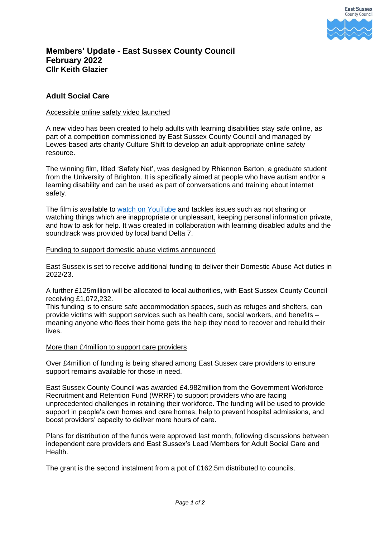

# **Members' Update - East Sussex County Council February 2022 Cllr Keith Glazier**

## **Adult Social Care**

### Accessible online safety video launched

A new video has been created to help adults with learning disabilities stay safe online, as part of a competition commissioned by East Sussex County Council and managed by Lewes-based arts charity Culture Shift to develop an adult-appropriate online safety resource.

The winning film, titled 'Safety Net', was designed by Rhiannon Barton, a graduate student from the University of Brighton. It is specifically aimed at people who have autism and/or a learning disability and can be used as part of conversations and training about internet safety.

The film is available to [watch on YouTube](https://www.youtube.com/watch?v=1oJ8EMfOcGA) and tackles issues such as not sharing or watching things which are inappropriate or unpleasant, keeping personal information private, and how to ask for help. It was created in collaboration with learning disabled adults and the soundtrack was provided by local band Delta 7.

#### Funding to support domestic abuse victims announced

East Sussex is set to receive additional funding to deliver their Domestic Abuse Act duties in 2022/23.

A further £125million will be allocated to local authorities, with East Sussex County Council receiving £1,072,232.

This funding is to ensure safe accommodation spaces, such as refuges and shelters, can provide victims with support services such as health care, social workers, and benefits – meaning anyone who flees their home gets the help they need to recover and rebuild their lives.

## More than £4million to support care providers

Over £4million of funding is being shared among East Sussex care providers to ensure support remains available for those in need.

East Sussex County Council was awarded £4.982million from the Government Workforce Recruitment and Retention Fund (WRRF) to support providers who are facing unprecedented challenges in retaining their workforce. The funding will be used to provide support in people's own homes and care homes, help to prevent hospital admissions, and boost providers' capacity to deliver more hours of care.

Plans for distribution of the funds were approved last month, following discussions between independent care providers and East Sussex's Lead Members for Adult Social Care and Health.

The grant is the second instalment from a pot of £162.5m distributed to councils.